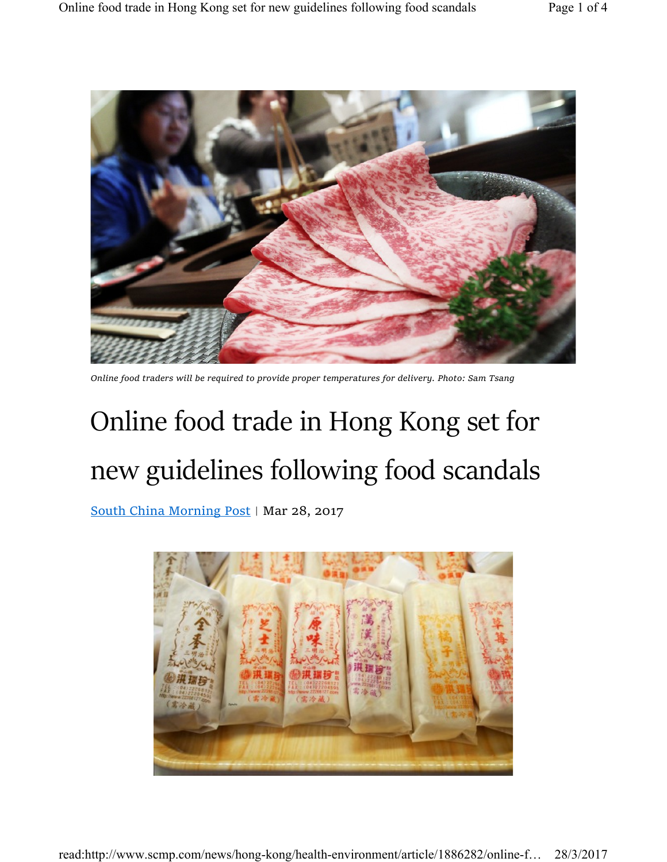

Online food traders will be required to provide proper temperatures for delivery. Photo: Sam Tsang

## Online food trade in Hong Kong set for new guidelines following food scandals

South China Morning Post | Mar 28, 2017

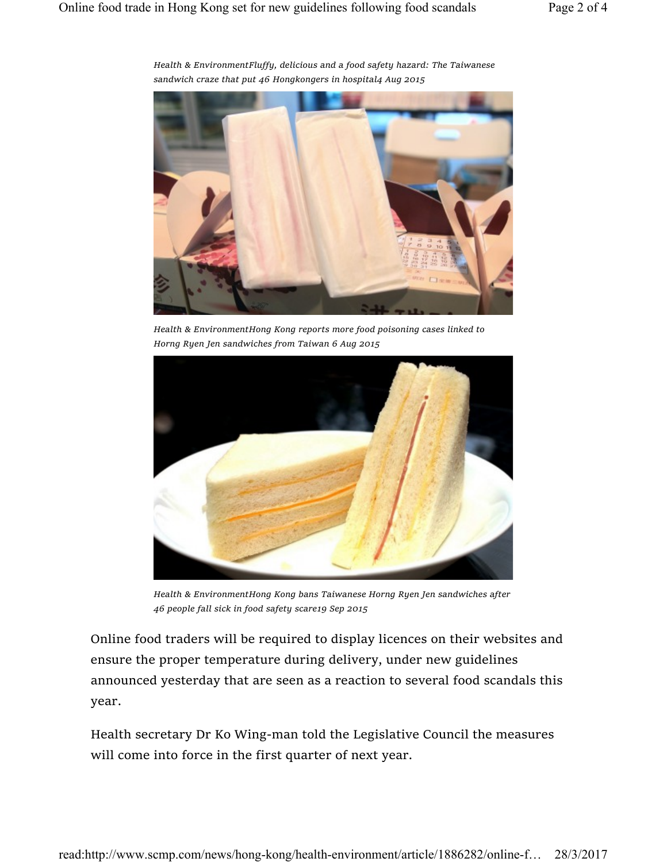

Health & EnvironmentFluffy, delicious and a food safety hazard: The Taiwanese sandwich craze that put 46 Hongkongers in hospital4 Aug 2015

Health & EnvironmentHong Kong reports more food poisoning cases linked to Horng Ryen Jen sandwiches from Taiwan 6 Aug 2015



Health & EnvironmentHong Kong bans Taiwanese Horng Ryen Jen sandwiches after 46 people fall sick in food safety scare19 Sep 2015

Online food traders will be required to display licences on their websites and ensure the proper temperature during delivery, under new guidelines announced yesterday that are seen as a reaction to several food scandals this year.

Health secretary Dr Ko Wing-man told the Legislative Council the measures will come into force in the first quarter of next year.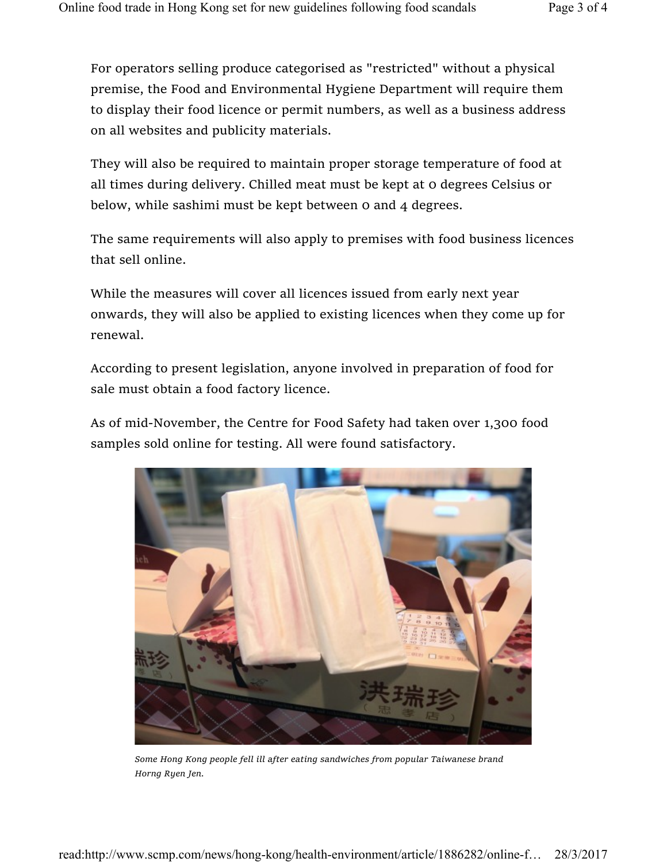For operators selling produce categorised as "restricted" without a physical premise, the Food and Environmental Hygiene Department will require them to display their food licence or permit numbers, as well as a business address on all websites and publicity materials.

They will also be required to maintain proper storage temperature of food at all times during delivery. Chilled meat must be kept at 0 degrees Celsius or below, while sashimi must be kept between 0 and 4 degrees.

The same requirements will also apply to premises with food business licences that sell online.

While the measures will cover all licences issued from early next year onwards, they will also be applied to existing licences when they come up for renewal.

According to present legislation, anyone involved in preparation of food for sale must obtain a food factory licence.

As of mid-November, the Centre for Food Safety had taken over 1,300 food samples sold online for testing. All were found satisfactory.



Some Hong Kong people fell ill after eating sandwiches from popular Taiwanese brand Horng Ryen Jen.